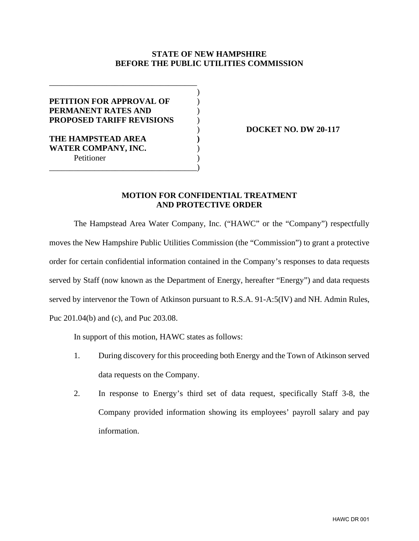## **STATE OF NEW HAMPSHIRE BEFORE THE PUBLIC UTILITIES COMMISSION**

| <b>PETITION FOR APPROVAL OF</b>  |  |
|----------------------------------|--|
| PERMANENT RATES AND              |  |
| <b>PROPOSED TARIFF REVISIONS</b> |  |
|                                  |  |
| THE HAMPSTEAD AREA               |  |
| <b>WATER COMPANY, INC.</b>       |  |
| Petitioner                       |  |
|                                  |  |

) **DOCKET NO. DW 20-117**

## **MOTION FOR CONFIDENTIAL TREATMENT AND PROTECTIVE ORDER**

The Hampstead Area Water Company, Inc. ("HAWC" or the "Company") respectfully moves the New Hampshire Public Utilities Commission (the "Commission") to grant a protective order for certain confidential information contained in the Company's responses to data requests served by Staff (now known as the Department of Energy, hereafter "Energy") and data requests served by intervenor the Town of Atkinson pursuant to R.S.A. 91-A:5(IV) and NH. Admin Rules, Puc 201.04(b) and (c), and Puc 203.08.

In support of this motion, HAWC states as follows:

- 1. During discovery for this proceeding both Energy and the Town of Atkinson served data requests on the Company.
- 2. In response to Energy's third set of data request, specifically Staff 3-8, the Company provided information showing its employees' payroll salary and pay information.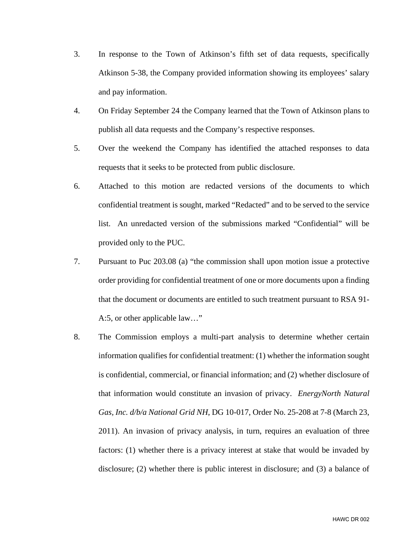- 3. In response to the Town of Atkinson's fifth set of data requests, specifically Atkinson 5-38, the Company provided information showing its employees' salary and pay information.
- 4. On Friday September 24 the Company learned that the Town of Atkinson plans to publish all data requests and the Company's respective responses.
- 5. Over the weekend the Company has identified the attached responses to data requests that it seeks to be protected from public disclosure.
- 6. Attached to this motion are redacted versions of the documents to which confidential treatment is sought, marked "Redacted" and to be served to the service list. An unredacted version of the submissions marked "Confidential" will be provided only to the PUC.
- 7. Pursuant to Puc 203.08 (a) "the commission shall upon motion issue a protective order providing for confidential treatment of one or more documents upon a finding that the document or documents are entitled to such treatment pursuant to RSA 91- A:5, or other applicable law…"
- 8. The Commission employs a multi-part analysis to determine whether certain information qualifies for confidential treatment: (1) whether the information sought is confidential, commercial, or financial information; and (2) whether disclosure of that information would constitute an invasion of privacy. *EnergyNorth Natural Gas, Inc. d/b/a National Grid NH*, DG 10-017, Order No. 25-208 at 7-8 (March 23, 2011). An invasion of privacy analysis, in turn, requires an evaluation of three factors: (1) whether there is a privacy interest at stake that would be invaded by disclosure; (2) whether there is public interest in disclosure; and (3) a balance of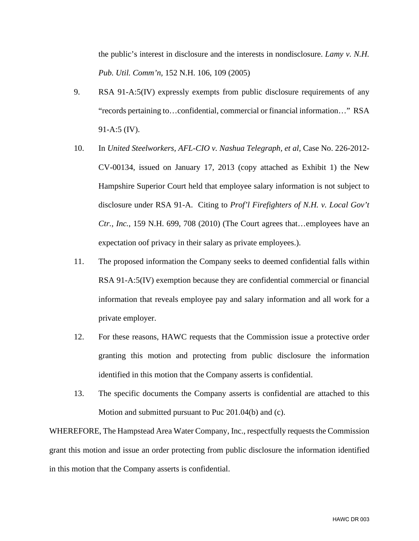the public's interest in disclosure and the interests in nondisclosure. *Lamy v. N.H. Pub. Util. Comm'n,* 152 N.H. 106, 109 (2005)

- 9. RSA 91-A:5(IV) expressly exempts from public disclosure requirements of any "records pertaining to…confidential, commercial or financial information…" RSA 91-A:5 (IV).
- 10. In *United Steelworkers, AFL-CIO v. Nashua Telegraph, et al, Case No.* 226-2012-CV-00134, issued on January 17, 2013 (copy attached as Exhibit 1) the New Hampshire Superior Court held that employee salary information is not subject to disclosure under RSA 91-A. Citing to *Prof'l Firefighters of N.H. v. Local Gov't Ctr., Inc.*, 159 N.H. 699, 708 (2010) (The Court agrees that…employees have an expectation oof privacy in their salary as private employees.).
- 11. The proposed information the Company seeks to deemed confidential falls within RSA 91-A:5(IV) exemption because they are confidential commercial or financial information that reveals employee pay and salary information and all work for a private employer.
- 12. For these reasons, HAWC requests that the Commission issue a protective order granting this motion and protecting from public disclosure the information identified in this motion that the Company asserts is confidential.
- 13. The specific documents the Company asserts is confidential are attached to this Motion and submitted pursuant to Puc 201.04(b) and (c).

WHEREFORE, The Hampstead Area Water Company, Inc., respectfully requests the Commission grant this motion and issue an order protecting from public disclosure the information identified in this motion that the Company asserts is confidential.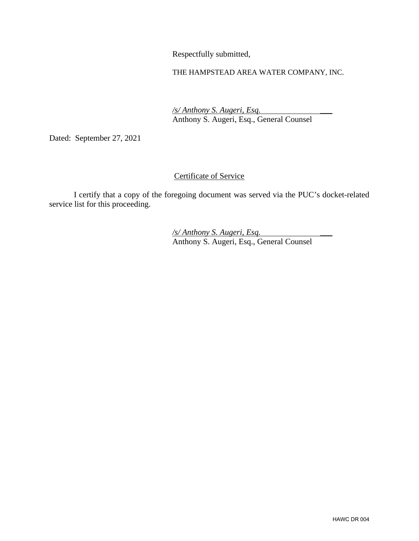Respectfully submitted,

## THE HAMPSTEAD AREA WATER COMPANY, INC.

 */s/ Anthony S. Augeri, Esq.* \_\_\_ Anthony S. Augeri, Esq., General Counsel

Dated: September 27, 2021

## Certificate of Service

I certify that a copy of the foregoing document was served via the PUC's docket-related service list for this proceeding.

 */s/ Anthony S. Augeri, Esq.* \_\_\_ Anthony S. Augeri, Esq., General Counsel